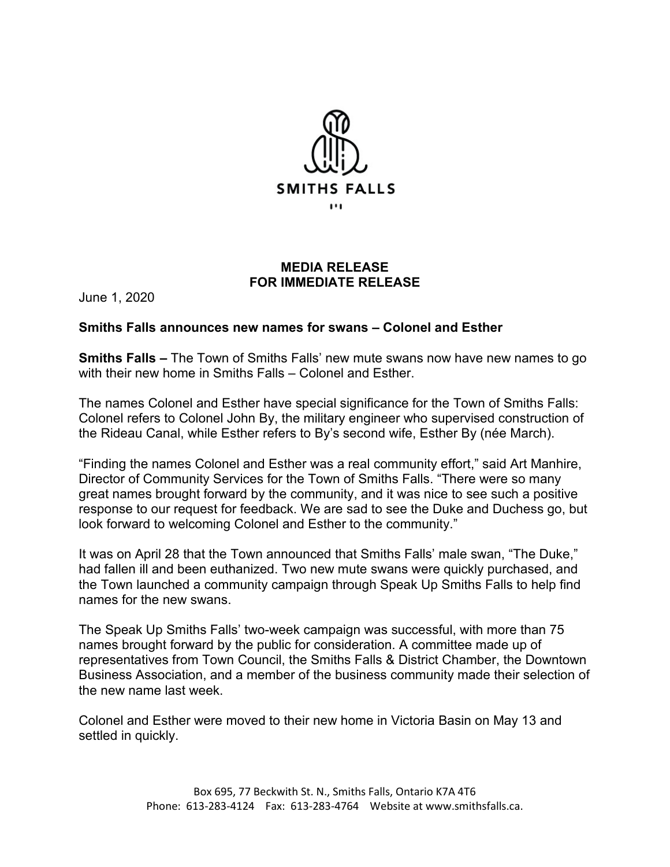

## **MEDIA RELEASE FOR IMMEDIATE RELEASE**

June 1, 2020

## **Smiths Falls announces new names for swans – Colonel and Esther**

**Smiths Falls –** The Town of Smiths Falls' new mute swans now have new names to go with their new home in Smiths Falls – Colonel and Esther.

The names Colonel and Esther have special significance for the Town of Smiths Falls: Colonel refers to Colonel John By, the military engineer who supervised construction of the Rideau Canal, while Esther refers to By's second wife, Esther By (née March).

"Finding the names Colonel and Esther was a real community effort," said Art Manhire, Director of Community Services for the Town of Smiths Falls. "There were so many great names brought forward by the community, and it was nice to see such a positive response to our request for feedback. We are sad to see the Duke and Duchess go, but look forward to welcoming Colonel and Esther to the community."

It was on April 28 that the Town announced that Smiths Falls' male swan, "The Duke," had fallen ill and been euthanized. Two new mute swans were quickly purchased, and the Town launched a community campaign through Speak Up Smiths Falls to help find names for the new swans.

The Speak Up Smiths Falls' two-week campaign was successful, with more than 75 names brought forward by the public for consideration. A committee made up of representatives from Town Council, the Smiths Falls & District Chamber, the Downtown Business Association, and a member of the business community made their selection of the new name last week.

Colonel and Esther were moved to their new home in Victoria Basin on May 13 and settled in quickly.